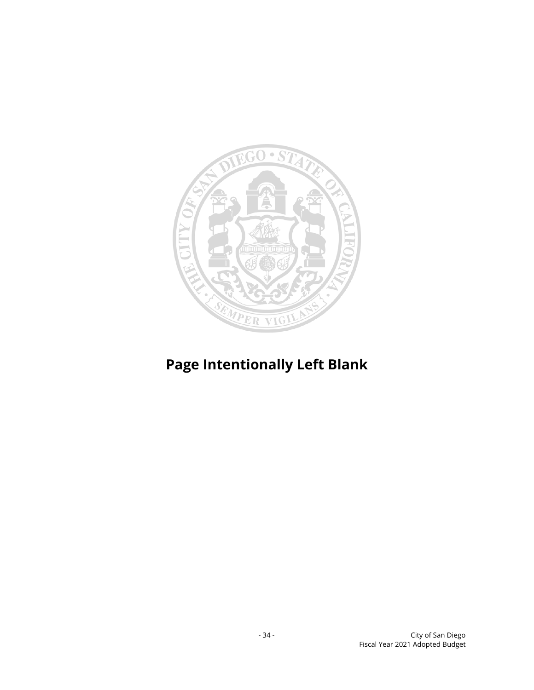

# **Page Intentionally Left Blank**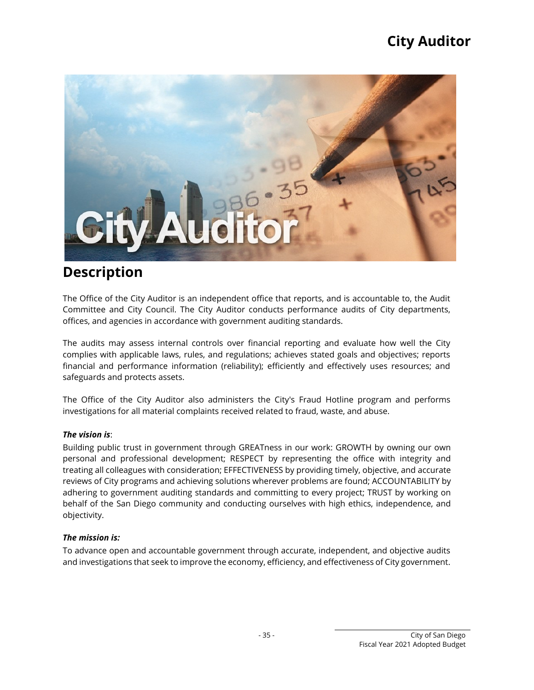

### **Description**

The Office of the City Auditor is an independent office that reports, and is accountable to, the Audit Committee and City Council. The City Auditor conducts performance audits of City departments, offices, and agencies in accordance with government auditing standards.

The audits may assess internal controls over financial reporting and evaluate how well the City complies with applicable laws, rules, and regulations; achieves stated goals and objectives; reports financial and performance information (reliability); efficiently and effectively uses resources; and safeguards and protects assets.

The Office of the City Auditor also administers the City's Fraud Hotline program and performs investigations for all material complaints received related to fraud, waste, and abuse.

#### *The vision is*:

Building public trust in government through GREATness in our work: GROWTH by owning our own personal and professional development; RESPECT by representing the office with integrity and treating all colleagues with consideration; EFFECTIVENESS by providing timely, objective, and accurate reviews of City programs and achieving solutions wherever problems are found; ACCOUNTABILITY by adhering to government auditing standards and committing to every project; TRUST by working on behalf of the San Diego community and conducting ourselves with high ethics, independence, and objectivity.

#### *The mission is:*

To advance open and accountable government through accurate, independent, and objective audits and investigations that seek to improve the economy, efficiency, and effectiveness of City government.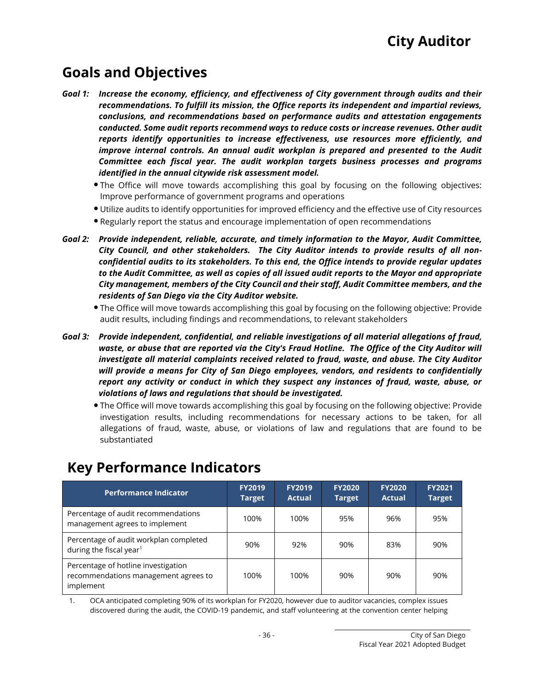### **Goals and Objectives**

- *Goal 1: Increase the economy, efficiency, and effectiveness of City government through audits and their recommendations. To fulfill its mission, the Office reports its independent and impartial reviews, conclusions, and recommendations based on performance audits and attestation engagements conducted. Some audit reports recommend ways to reduce costs or increase revenues. Other audit reports identify opportunities to increase effectiveness, use resources more efficiently, and improve internal controls. An annual audit workplan is prepared and presented to the Audit Committee each fiscal year. The audit workplan targets business processes and programs identified in the annual citywide risk assessment model.*
	- The Office will move towards accomplishing this goal by focusing on the following objectives: Improve performance of government programs and operations
	- Utilize audits to identify opportunities for improved efficiency and the effective use of City resources
	- Regularly report the status and encourage implementation of open recommendations
- *Goal 2: Provide independent, reliable, accurate, and timely information to the Mayor, Audit Committee, City Council, and other stakeholders. The City Auditor intends to provide results of all nonconfidential audits to its stakeholders. To this end, the Office intends to provide regular updates to the Audit Committee, as well as copies of all issued audit reports to the Mayor and appropriate City management, members of the City Council and their staff, Audit Committee members, and the residents of San Diego via the City Auditor website.*
	- The Office will move towards accomplishing this goal by focusing on the following objective: Provide audit results, including findings and recommendations, to relevant stakeholders
- *Goal 3: Provide independent, confidential, and reliable investigations of all material allegations of fraud, waste, or abuse that are reported via the City's Fraud Hotline. The Office of the City Auditor will investigate all material complaints received related to fraud, waste, and abuse. The City Auditor will provide a means for City of San Diego employees, vendors, and residents to confidentially report any activity or conduct in which they suspect any instances of fraud, waste, abuse, or violations of laws and regulations that should be investigated.*
	- The Office will move towards accomplishing this goal by focusing on the following objective: Provide investigation results, including recommendations for necessary actions to be taken, for all allegations of fraud, waste, abuse, or violations of law and regulations that are found to be substantiated

| <b>Performance Indicator</b>                                                             | <b>FY2019</b><br><b>Target</b> | <b>FY2019</b><br><b>Actual</b> | <b>FY2020</b><br><b>Target</b> | <b>FY2020</b><br><b>Actual</b> | <b>FY2021</b><br><b>Target</b> |
|------------------------------------------------------------------------------------------|--------------------------------|--------------------------------|--------------------------------|--------------------------------|--------------------------------|
| Percentage of audit recommendations<br>management agrees to implement                    | 100%                           | 100%                           | 95%                            | 96%                            | 95%                            |
| Percentage of audit workplan completed<br>during the fiscal year <sup>1</sup>            | 90%                            | 92%                            | 90%                            | 83%                            | 90%                            |
| Percentage of hotline investigation<br>recommendations management agrees to<br>implement | 100%                           | 100%                           | 90%                            | 90%                            | 90%                            |

### **Key Performance Indicators**

1. OCA anticipated completing 90% of its workplan for FY2020, however due to auditor vacancies, complex issues discovered during the audit, the COVID-19 pandemic, and staff volunteering at the convention center helping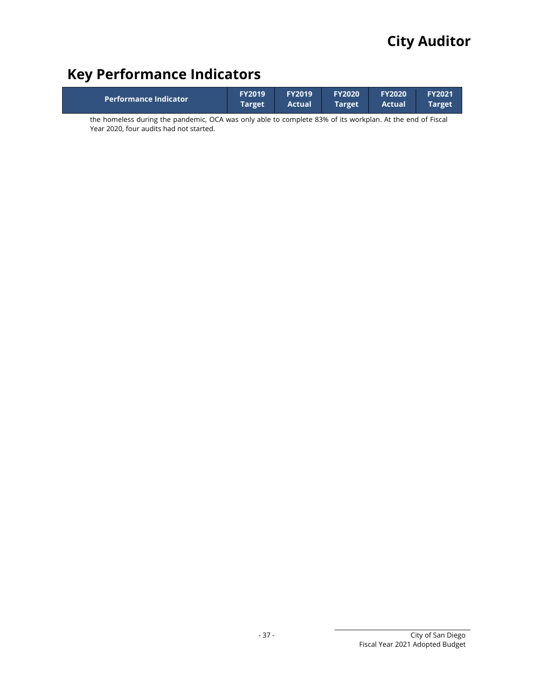# **Key Performance Indicators**

| <b>Performance Indicator</b> | <b>FY2019</b> | <b>FY2019</b> FY2020 | FY2020        | <b>FY2021</b> |
|------------------------------|---------------|----------------------|---------------|---------------|
|                              | Target        | Actual Target        | <b>Actual</b> | Target        |

the homeless during the pandemic, OCA was only able to complete 83% of its workplan. At the end of Fiscal Year 2020, four audits had not started.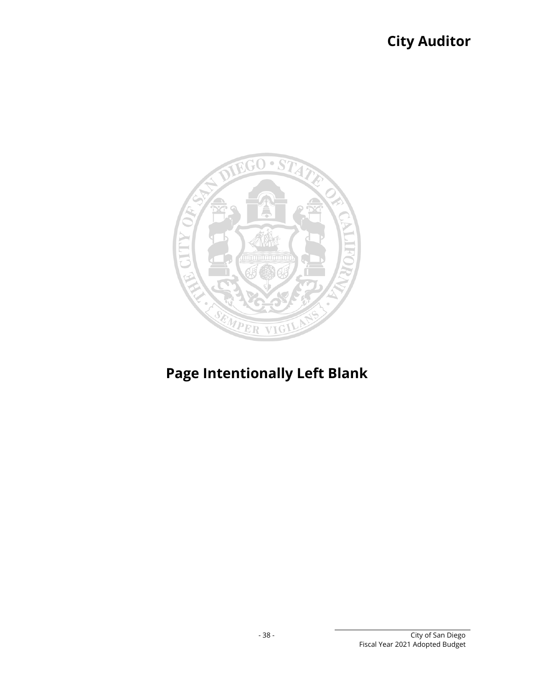

# **Page Intentionally Left Blank**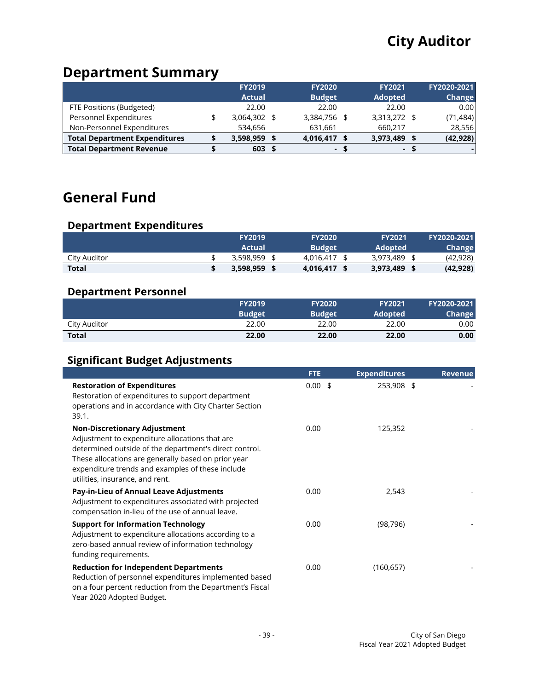### **Department Summary**

|                                      | <b>FY2019</b>  | <b>FY2020</b> |      | <b>FY2021</b>  |      | FY2020-2021 |
|--------------------------------------|----------------|---------------|------|----------------|------|-------------|
|                                      | <b>Actual</b>  | <b>Budget</b> |      | <b>Adopted</b> |      | Change      |
| FTE Positions (Budgeted)             | 22.00          | 22.00         |      | 22.00          |      | 0.00        |
| Personnel Expenditures               | 3,064,302 \$   | 3,384,756 \$  |      | 3,313,272      |      | (71, 484)   |
| Non-Personnel Expenditures           | 534.656        | 631.661       |      | 660.217        |      | 28,556      |
| <b>Total Department Expenditures</b> | $3.598.959$ \$ | 4,016,417 \$  |      | 3,973,489      |      | (42, 928)   |
| <b>Total Department Revenue</b>      | $603$ \$       |               | - \$ |                | - \$ |             |

### **General Fund**

#### **Department Expenditures**

|              | <b>FY2019</b> | <b>FY2020</b> | <b>FY2021</b>  | FY2020-2021 |
|--------------|---------------|---------------|----------------|-------------|
|              | <b>Actual</b> | <b>Budget</b> | <b>Adopted</b> | Change      |
| City Auditor | 3,598,959     | 4.016.417 \$  | 3,973,489      | (42, 928)   |
| <b>Total</b> | 3,598,959     | 4,016,417 \$  | 3,973,489      | (42, 928)   |

#### **Department Personnel**

|              | <b>FY2019</b><br><b>Budget</b> | <b>FY2020</b><br><b>Budget</b> | <b>FY2021</b><br><b>Adopted</b> | FY2020-2021<br>Change |
|--------------|--------------------------------|--------------------------------|---------------------------------|-----------------------|
| City Auditor | 22.00                          | 22.00                          | 22.00                           | 0.00                  |
| <b>Total</b> | 22.00                          | 22.00                          | 22.00                           | 0.00                  |

#### **Significant Budget Adjustments**

|                                                                                                                                                                                                                                                                                               | FTE.      | <b>Expenditures</b> | <b>Revenue</b> |
|-----------------------------------------------------------------------------------------------------------------------------------------------------------------------------------------------------------------------------------------------------------------------------------------------|-----------|---------------------|----------------|
| <b>Restoration of Expenditures</b><br>Restoration of expenditures to support department<br>operations and in accordance with City Charter Section<br>39.1.                                                                                                                                    | $0.00$ \$ | 253,908 \$          |                |
| <b>Non-Discretionary Adjustment</b><br>Adjustment to expenditure allocations that are<br>determined outside of the department's direct control.<br>These allocations are generally based on prior year<br>expenditure trends and examples of these include<br>utilities, insurance, and rent. | 0.00      | 125,352             |                |
| Pay-in-Lieu of Annual Leave Adjustments<br>Adjustment to expenditures associated with projected<br>compensation in-lieu of the use of annual leave.                                                                                                                                           | 0.00      | 2,543               |                |
| <b>Support for Information Technology</b><br>Adjustment to expenditure allocations according to a<br>zero-based annual review of information technology<br>funding requirements.                                                                                                              | 0.00      | (98, 796)           |                |
| <b>Reduction for Independent Departments</b><br>Reduction of personnel expenditures implemented based<br>on a four percent reduction from the Department's Fiscal                                                                                                                             | 0.00      | (160, 657)          |                |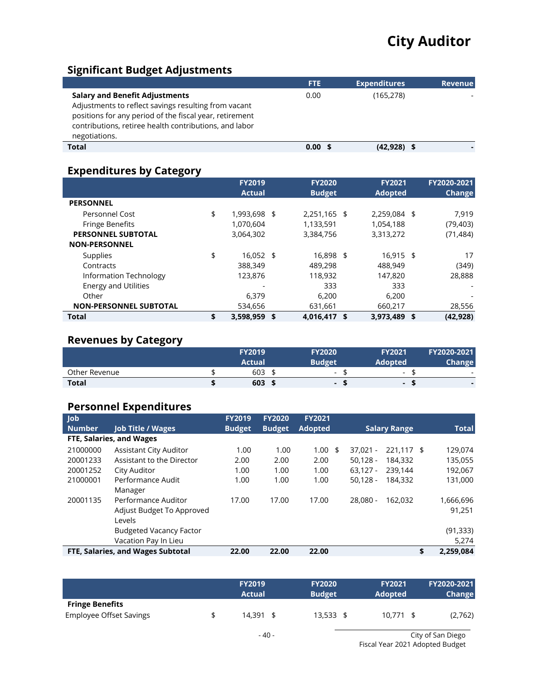#### **Significant Budget Adjustments**

|                                                                                                                                                                                            | FTE.              | <b>Expenditures</b> | <b>Revenue</b> |
|--------------------------------------------------------------------------------------------------------------------------------------------------------------------------------------------|-------------------|---------------------|----------------|
| <b>Salary and Benefit Adjustments</b>                                                                                                                                                      | 0.00              | (165, 278)          |                |
| Adjustments to reflect savings resulting from vacant<br>positions for any period of the fiscal year, retirement<br>contributions, retiree health contributions, and labor<br>negotiations. |                   |                     |                |
| <b>Total</b>                                                                                                                                                                               | 0.00 <sub>5</sub> | $(42, 928)$ \$      |                |

#### **Expenditures by Category**

|                               | <b>FY2019</b><br><b>Actual</b> | <b>FY2020</b><br><b>Budget</b> | <b>FY2021</b><br><b>Adopted</b> | FY2020-2021<br><b>Change</b> |
|-------------------------------|--------------------------------|--------------------------------|---------------------------------|------------------------------|
| <b>PERSONNEL</b>              |                                |                                |                                 |                              |
| Personnel Cost                | \$<br>1,993,698 \$             | 2,251,165 \$                   | 2,259,084 \$                    | 7,919                        |
| <b>Fringe Benefits</b>        | 1.070.604                      | 1,133,591                      | 1,054,188                       | (79, 403)                    |
| <b>PERSONNEL SUBTOTAL</b>     | 3,064,302                      | 3,384,756                      | 3,313,272                       | (71, 484)                    |
| <b>NON-PERSONNEL</b>          |                                |                                |                                 |                              |
| Supplies                      | \$<br>16.052 \$                | 16,898 \$                      | 16.915 \$                       | 17                           |
| Contracts                     | 388,349                        | 489,298                        | 488.949                         | (349)                        |
| Information Technology        | 123,876                        | 118.932                        | 147,820                         | 28,888                       |
| <b>Energy and Utilities</b>   |                                | 333                            | 333                             |                              |
| Other                         | 6,379                          | 6,200                          | 6,200                           |                              |
| <b>NON-PERSONNEL SUBTOTAL</b> | 534,656                        | 631,661                        | 660,217                         | 28,556                       |
| <b>Total</b>                  | \$<br>3,598,959 \$             | 4,016,417 \$                   | 3,973,489 \$                    | (42, 928)                    |

#### **Revenues by Category**

|               | <b>FY2019</b><br><b>Actual</b> | <b>FY2020</b><br><b>Budget</b> | <b>FY2021</b><br><b>Adopted</b> | FY2020-2021<br><b>Change</b> |
|---------------|--------------------------------|--------------------------------|---------------------------------|------------------------------|
| Other Revenue | 603                            | $\sim$                         | $\overline{\phantom{a}}$        | $\sim$                       |
| <b>Total</b>  | 603                            | -                              | $\overline{\phantom{0}}$        | $\overline{\phantom{a}}$     |

#### **Personnel Expenditures**

| <b>Job</b>    |                                   | <b>FY2019</b> | <b>FY2020</b> | <b>FY2021</b>  |                          |              |
|---------------|-----------------------------------|---------------|---------------|----------------|--------------------------|--------------|
| <b>Number</b> | <b>Job Title / Wages</b>          | <b>Budget</b> | <b>Budget</b> | <b>Adopted</b> | <b>Salary Range</b>      | <b>Total</b> |
|               | FTE, Salaries, and Wages          |               |               |                |                          |              |
| 21000000      | <b>Assistant City Auditor</b>     | 1.00          | 1.00          | 1.00<br>\$     | $37.021 -$<br>221,117 \$ | 129,074      |
| 20001233      | Assistant to the Director         | 2.00          | 2.00          | 2.00           | $50.128 -$<br>184,332    | 135,055      |
| 20001252      | City Auditor                      | 1.00          | 1.00          | 1.00           | $63.127 -$<br>239.144    | 192,067      |
| 21000001      | Performance Audit                 | 1.00          | 1.00          | 1.00           | $50.128 -$<br>184,332    | 131,000      |
|               | Manager                           |               |               |                |                          |              |
| 20001135      | Performance Auditor               | 17.00         | 17.00         | 17.00          | $28.080 -$<br>162.032    | 1,666,696    |
|               | Adjust Budget To Approved         |               |               |                |                          | 91.251       |
|               | Levels                            |               |               |                |                          |              |
|               | <b>Budgeted Vacancy Factor</b>    |               |               |                |                          | (91, 333)    |
|               | Vacation Pay In Lieu              |               |               |                |                          | 5,274        |
|               | FTE, Salaries, and Wages Subtotal | 22.00         | 22.00         | 22.00          | \$                       | 2.259.084    |

|                         | <b>FY2019</b><br><b>Actual</b> | <b>FY2020</b><br><b>Budget</b> | <b>FY2021</b><br><b>Adopted</b> | FY2020-2021<br><b>Change</b> |
|-------------------------|--------------------------------|--------------------------------|---------------------------------|------------------------------|
| <b>Fringe Benefits</b>  |                                |                                |                                 |                              |
| Employee Offset Savings | 14.391 \$                      | $13,533$ \$                    | 10.771<br>- \$                  | (2,762)                      |

- 40 - City of San Diego Fiscal Year 2021 Adopted Budget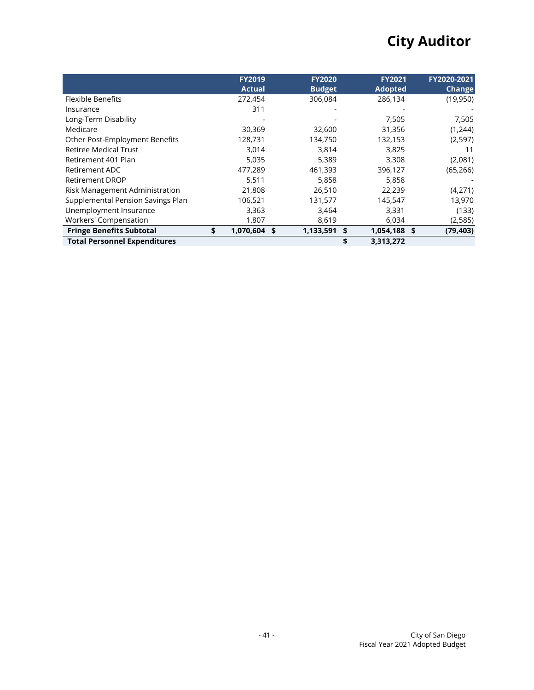|                                     | <b>FY2019</b>      | <b>FY2020</b> | <b>FY2021</b>      | FY2020-2021   |
|-------------------------------------|--------------------|---------------|--------------------|---------------|
|                                     | <b>Actual</b>      | <b>Budget</b> | <b>Adopted</b>     | <b>Change</b> |
| <b>Flexible Benefits</b>            | 272,454            | 306,084       | 286,134            | (19,950)      |
| Insurance                           | 311                |               |                    |               |
| Long-Term Disability                |                    |               | 7,505              | 7,505         |
| Medicare                            | 30,369             | 32,600        | 31,356             | (1,244)       |
| Other Post-Employment Benefits      | 128,731            | 134,750       | 132,153            | (2,597)       |
| Retiree Medical Trust               | 3,014              | 3,814         | 3,825              | 11            |
| Retirement 401 Plan                 | 5,035              | 5,389         | 3,308              | (2,081)       |
| Retirement ADC                      | 477,289            | 461,393       | 396,127            | (65, 266)     |
| <b>Retirement DROP</b>              | 5,511              | 5,858         | 5,858              |               |
| Risk Management Administration      | 21,808             | 26,510        | 22,239             | (4,271)       |
| Supplemental Pension Savings Plan   | 106,521            | 131,577       | 145,547            | 13,970        |
| Unemployment Insurance              | 3,363              | 3,464         | 3,331              | (133)         |
| <b>Workers' Compensation</b>        | 1,807              | 8,619         | 6,034              | (2,585)       |
| <b>Fringe Benefits Subtotal</b>     | \$<br>1,070,604 \$ | 1,133,591     | \$<br>1,054,188 \$ | (79, 403)     |
| <b>Total Personnel Expenditures</b> |                    |               | \$<br>3,313,272    |               |